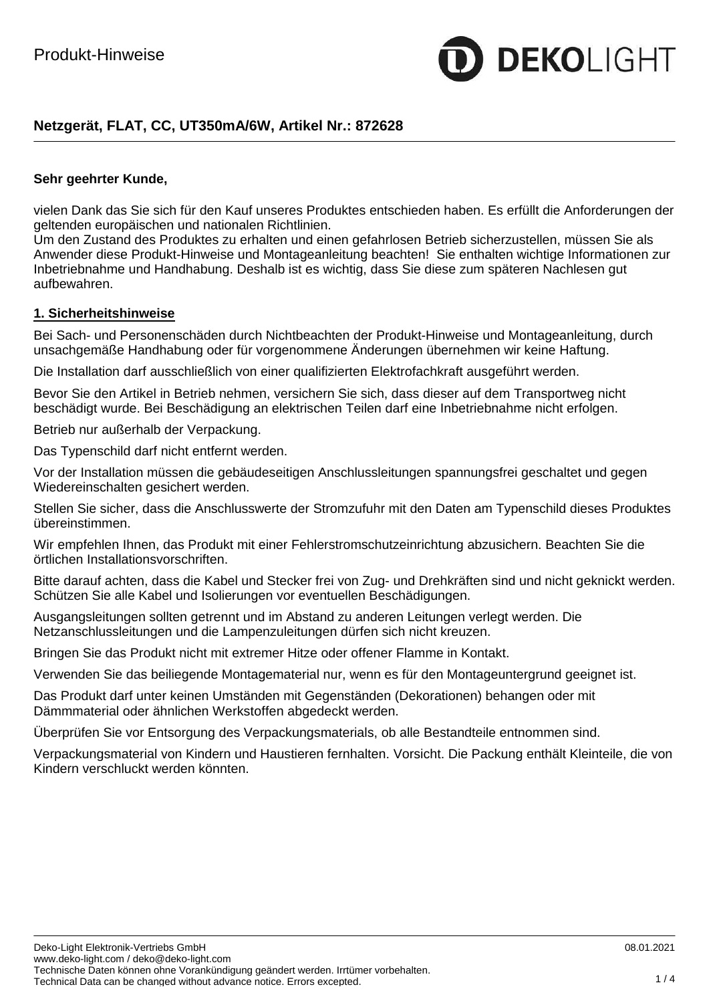# **Netzgerät, FLAT, CC, UT350mA/6W, Artikel Nr.: 872628**

### **Sehr geehrter Kunde,**

vielen Dank das Sie sich für den Kauf unseres Produktes entschieden haben. Es erfüllt die Anforderungen der geltenden europäischen und nationalen Richtlinien.

Um den Zustand des Produktes zu erhalten und einen gefahrlosen Betrieb sicherzustellen, müssen Sie als Anwender diese Produkt-Hinweise und Montageanleitung beachten! Sie enthalten wichtige Informationen zur Inbetriebnahme und Handhabung. Deshalb ist es wichtig, dass Sie diese zum späteren Nachlesen gut aufbewahren.

### **1. Sicherheitshinweise**

Bei Sach- und Personenschäden durch Nichtbeachten der Produkt-Hinweise und Montageanleitung, durch unsachgemäße Handhabung oder für vorgenommene Änderungen übernehmen wir keine Haftung.

Die Installation darf ausschließlich von einer qualifizierten Elektrofachkraft ausgeführt werden.

Bevor Sie den Artikel in Betrieb nehmen, versichern Sie sich, dass dieser auf dem Transportweg nicht beschädigt wurde. Bei Beschädigung an elektrischen Teilen darf eine Inbetriebnahme nicht erfolgen.

Betrieb nur außerhalb der Verpackung.

Das Typenschild darf nicht entfernt werden.

Vor der Installation müssen die gebäudeseitigen Anschlussleitungen spannungsfrei geschaltet und gegen Wiedereinschalten gesichert werden.

Stellen Sie sicher, dass die Anschlusswerte der Stromzufuhr mit den Daten am Typenschild dieses Produktes übereinstimmen.

Wir empfehlen Ihnen, das Produkt mit einer Fehlerstromschutzeinrichtung abzusichern. Beachten Sie die örtlichen Installationsvorschriften.

Bitte darauf achten, dass die Kabel und Stecker frei von Zug- und Drehkräften sind und nicht geknickt werden. Schützen Sie alle Kabel und Isolierungen vor eventuellen Beschädigungen.

Ausgangsleitungen sollten getrennt und im Abstand zu anderen Leitungen verlegt werden. Die Netzanschlussleitungen und die Lampenzuleitungen dürfen sich nicht kreuzen.

Bringen Sie das Produkt nicht mit extremer Hitze oder offener Flamme in Kontakt.

Verwenden Sie das beiliegende Montagematerial nur, wenn es für den Montageuntergrund geeignet ist.

Das Produkt darf unter keinen Umständen mit Gegenständen (Dekorationen) behangen oder mit Dämmmaterial oder ähnlichen Werkstoffen abgedeckt werden.

Überprüfen Sie vor Entsorgung des Verpackungsmaterials, ob alle Bestandteile entnommen sind.

Verpackungsmaterial von Kindern und Haustieren fernhalten. Vorsicht. Die Packung enthält Kleinteile, die von Kindern verschluckt werden könnten.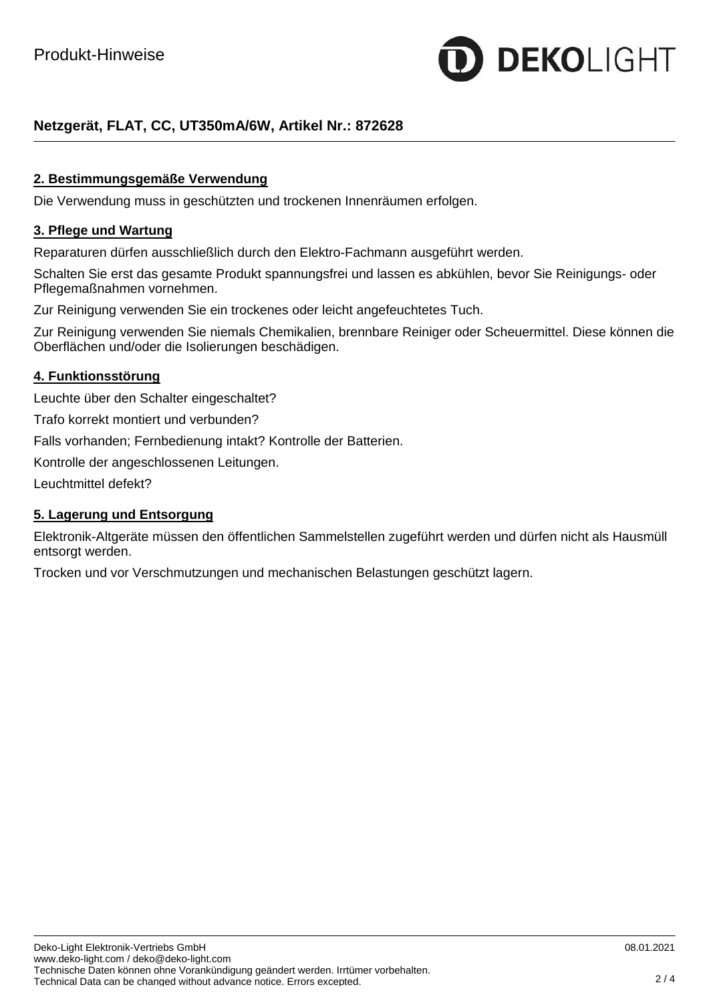

# **Netzgerät, FLAT, CC, UT350mA/6W, Artikel Nr.: 872628**

# **2. Bestimmungsgemäße Verwendung**

Die Verwendung muss in geschützten und trockenen Innenräumen erfolgen.

### **3. Pflege und Wartung**

Reparaturen dürfen ausschließlich durch den Elektro-Fachmann ausgeführt werden.

Schalten Sie erst das gesamte Produkt spannungsfrei und lassen es abkühlen, bevor Sie Reinigungs- oder Pflegemaßnahmen vornehmen.

Zur Reinigung verwenden Sie ein trockenes oder leicht angefeuchtetes Tuch.

Zur Reinigung verwenden Sie niemals Chemikalien, brennbare Reiniger oder Scheuermittel. Diese können die Oberflächen und/oder die Isolierungen beschädigen.

### **4. Funktionsstörung**

Leuchte über den Schalter eingeschaltet?

Trafo korrekt montiert und verbunden?

Falls vorhanden; Fernbedienung intakt? Kontrolle der Batterien.

Kontrolle der angeschlossenen Leitungen.

Leuchtmittel defekt?

### **5. Lagerung und Entsorgung**

Elektronik-Altgeräte müssen den öffentlichen Sammelstellen zugeführt werden und dürfen nicht als Hausmüll entsorgt werden.

Trocken und vor Verschmutzungen und mechanischen Belastungen geschützt lagern.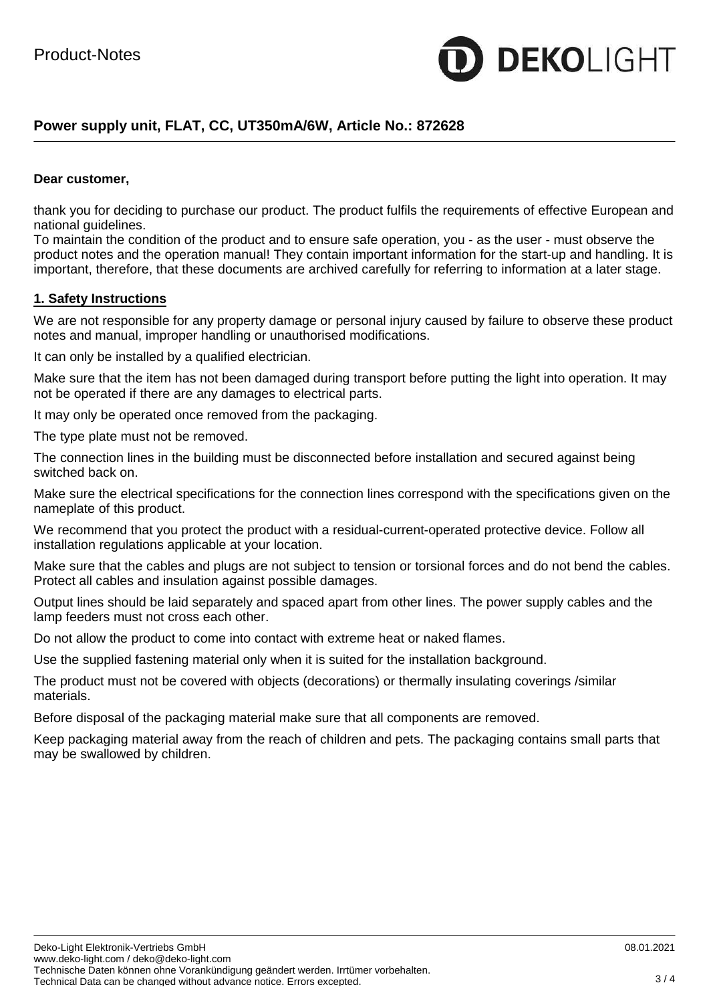

# **Power supply unit, FLAT, CC, UT350mA/6W, Article No.: 872628**

### **Dear customer,**

thank you for deciding to purchase our product. The product fulfils the requirements of effective European and national guidelines.

To maintain the condition of the product and to ensure safe operation, you - as the user - must observe the product notes and the operation manual! They contain important information for the start-up and handling. It is important, therefore, that these documents are archived carefully for referring to information at a later stage.

#### **1. Safety Instructions**

We are not responsible for any property damage or personal injury caused by failure to observe these product notes and manual, improper handling or unauthorised modifications.

It can only be installed by a qualified electrician.

Make sure that the item has not been damaged during transport before putting the light into operation. It may not be operated if there are any damages to electrical parts.

It may only be operated once removed from the packaging.

The type plate must not be removed.

The connection lines in the building must be disconnected before installation and secured against being switched back on.

Make sure the electrical specifications for the connection lines correspond with the specifications given on the nameplate of this product.

We recommend that you protect the product with a residual-current-operated protective device. Follow all installation regulations applicable at your location.

Make sure that the cables and plugs are not subject to tension or torsional forces and do not bend the cables. Protect all cables and insulation against possible damages.

Output lines should be laid separately and spaced apart from other lines. The power supply cables and the lamp feeders must not cross each other.

Do not allow the product to come into contact with extreme heat or naked flames.

Use the supplied fastening material only when it is suited for the installation background.

The product must not be covered with objects (decorations) or thermally insulating coverings /similar materials.

Before disposal of the packaging material make sure that all components are removed.

Keep packaging material away from the reach of children and pets. The packaging contains small parts that may be swallowed by children.